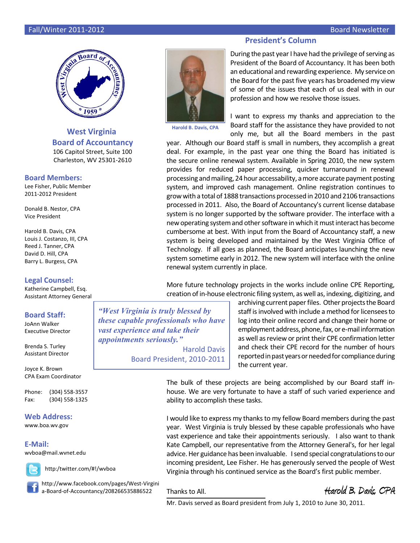## Fall/Winter 2011-2012 Board Newsletter



## **West Virginia Board of Accountancy** 106 Capitol Street, Suite 100

Charleston, WV 25301-2610

## **Board Members:**

Lee Fisher, Public Member 2011-2012 President

Donald B. Nestor, CPA Vice President

Harold B. Davis, CPA Louis J. Costanzo, III, CPA Reed J. Tanner, CPA David D. Hill, CPA Barry L. Burgess, CPA

## **Legal Counsel:**

Katherine Campbell, Esq. Assistant Attorney General

## **Board Staff:**

JoAnn Walker Executive Director

Brenda S. Turley Assistant Director

Joyce K. Brown CPA Exam Coordinator

Phone: (304) 558-3557 Fax: (304) 558-1325

## **Web Address:**

www.boa.wv.gov

## **E-Mail:**

wvboa@mail.wvnet.edu



http://www.facebook.com/pages/West-Virgini a-Board-of-Accountancy/208266535886522

http:/twitter.com/#!/wvboa

Thanks to All. **Harold B. Davis, CPA**

**President's Column**



**Harold B. Davis, CPA**

During the past year I have had the privilege of serving as President of the Board of Accountancy. It has been both an educational and rewarding experience. My service on the Board for the past five years has broadened my view of some of the issues that each of us deal with in our profession and how we resolve those issues.

I want to express my thanks and appreciation to the Board staff for the assistance they have provided to not only me, but all the Board members in the past

year. Although our Board staff is small in numbers, they accomplish a great deal. For example, in the past year one thing the Board has initiated is the secure online renewal system. Available in Spring 2010, the new system provides for reduced paper processing, quicker turnaround in renewal processing andmailing, 24hour accessability, amore accurate payment posting system, and improved cash management. Online registration continues to growwith a total of 1888 transactions processed in 2010 and 2106 transactions processed in 2011. Also, the Board of Accountancy's current license database system is no longer supported by the software provider. The interface with a new operating system and other software in which it must interact has become cumbersome at best. With input from the Board of Accountancy staff, a new system is being developed and maintained by the West Virginia Office of Technology. If all goes as planned, the Board anticipates launching the new system sometime early in 2012. The new system will interface with the online renewal system currently in place.

More future technology projects in the works include online CPE Reporting, creation of in-house electronic filing system, as well as, indexing, digitizing, and

*"West Virginia is truly blessed by these capable professionals who have vast experience and take their appointments seriously."*

Harold Davis Board President, 2010-2011 archiving current paper files. Other projects the Board staff is involved with include a method for licensees to log into their online record and change their home or employment address, phone, fax, or e-mail information as well as review or print their CPE confirmation letter and check their CPE record for the number of hours reported in past years or needed for compliance during the current year.

The bulk of these projects are being accomplished by our Board staff inhouse. We are very fortunate to have a staff of such varied experience and ability to accomplish these tasks.

I would like to express my thanks to my fellow Board members during the past year. West Virginia is truly blessed by these capable professionals who have vast experience and take their appointments seriously. I also want to thank Kate Campbell, our representative from the Attorney General's, for her legal advice. Her guidance has been invaluable. I send special congratulations to our incoming president, Lee Fisher. He has generously served the people of West Virginia through his continued service as the Board's first public member.

Mr. Davis served as Board president from July 1, 2010 to June 30, 2011.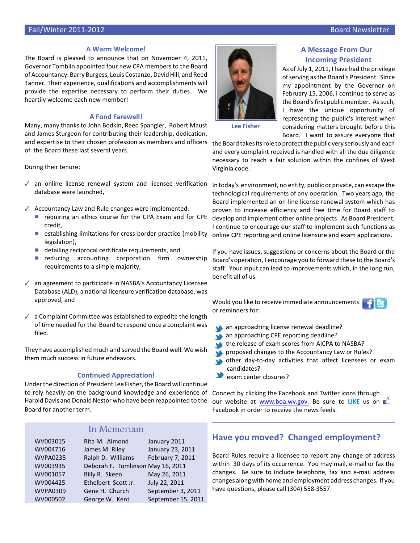#### **A Warm Welcome!**

The Board is pleased to announce that on November 4, 2011, Governor Tomblin appointed four new CPA members to the Board of Accountancy: Barry Burgess, Louis Costanzo, David Hill, and Reed Tanner. Their experience, qualifications and accomplishments will provide the expertise necessary to perform their duties. We heartily welcome each new member!

## **A Fond Farewell!**

Many, many thanks to John Bodkin, Reed Spangler, Robert Maust and James Sturgeon for contributing their leadership, dedication, and expertise to their chosen profession as members and officers of the Board these last several years.

During their tenure:

- $\sqrt{\ }$  an online license renewal system and licensee verification database were launched,
- $\sqrt{\phantom{a}}$  Accountancy Law and Rule changes were implemented:
	- $\blacksquare$  requiring an ethics course for the CPA Exam and for CPE credit,
	- **E** establishing limitations for cross-border practice (mobility legislation),
	- $\blacksquare$  detailing reciprocal certificate requirements, and
	- $\blacksquare$  reducing accounting corporation firm ownership requirements to a simple majority,
- $\sqrt{\phantom{a}}$  an agreement to participate in NASBA's Accountancy Licensee Database (ALD), a national licensure verification database, was approved, and
- $\checkmark$  a Complaint Committee was established to expedite the length of time needed for the Board to respond once a complaint was filed.

They have accomplished much and served the Board well. We wish them much success in future endeavors.

### **Continued Appreciation!**

Under the direction of President Lee Fisher, the Board will continue to rely heavily on the background knowledge and experience of Harold Davis and Donald Nestor who have been reappointed to the Board for another term.

## In Memoriam

| WV003015        | Rita M. Almond                    | January 2011       |
|-----------------|-----------------------------------|--------------------|
| WV004716        | James M. Riley                    | January 23, 2011   |
| <b>WVPA0235</b> | Ralph D. Williams                 | February 7, 2011   |
| WV003935        | Deborah F. Tomlinson May 16, 2011 |                    |
| WV001057        | Billy R. Skeen                    | May 26, 2011       |
| WV004425        | Ethelbert Scott Jr.               | July 22, 2011      |
| <b>WVPA0309</b> | Gene H. Church                    | September 3, 2011  |
| WV000502        | George W. Kent                    | September 15, 2011 |
|                 |                                   |                    |



## **A Message From Our Incoming President**

As of July 1, 2011, I have had the privilege of serving as the Board's President. Since my appointment by the Governor on February 15, 2006, I continue to serve as the Board's first public member. As such, I have the unique opportunity of representing the public's interest when considering matters brought before this Board. I want to assure everyone that

**Lee Fisher**

the Board takes its role to protect the public very seriously and each and every complaint received is handled with all the due diligence necessary to reach a fair solution within the confines of West Virginia code.

In today's environment, no entity, public or private, can escape the technological requirements of any operation. Two years ago, the Board implemented an on-line license renewal system which has proven to increase efficiency and free time for Board staff to develop and implement other online projects. As Board President, I continue to encourage our staff to implement such functions as online CPE reporting and online licensure and exam applications.

If you have issues, suggestions or concerns about the Board or the Board's operation, I encourage you to forward these to the Board's staff. Your input can lead to improvements which, in the long run, benefit all of us.

Would you like to receive immediate announcements or reminders for:

- an approaching license renewal deadline?
- an approaching CPE reporting deadline?
- the release of exam scores from AICPA to NASBA? **Y**
- **proposed changes to the Accountancy Law or Rules?**
- other day-to-day activities that affect licensees or exam candidates?
- exam center closures?

Connect by clicking the Facebook and Twitter icons through our website at [www.boa.wv.gov.](http://www.boa.wv.gov.) Be sure to **LIKE** us on Facebook in order to receive the news feeds.

## **Have you moved? Changed employment?**

Board Rules require a licensee to report any change of address within 30 days of its occurrence. You may mail, e-mail or fax the changes. Be sure to include telephone, fax and e-mail address changes along with home and employment address changes. If you have questions, please call (304) 558-3557.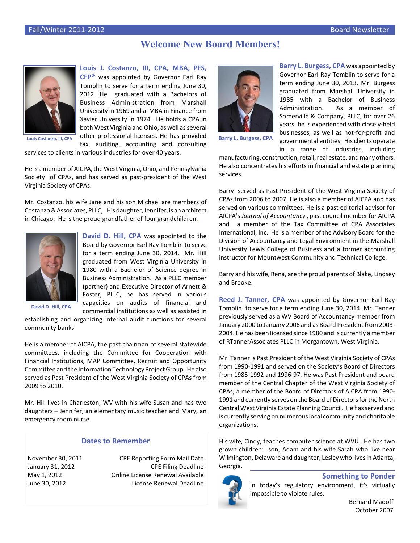## **Welcome New Board Members!**



**Louis J. Costanzo, III, CPA, MBA, PFS, CFP®** was appointed by Governor Earl Ray Tomblin to serve for a term ending June 30, 2012. He graduated with a Bachelors of Business Administration from Marshall University in 1969 and a MBA in Finance from Xavier University in 1974. He holds a CPA in both West Virginia and Ohio, as well as several other professional licenses. He has provided tax, auditing, accounting and consulting

**Louis Costanzo, III, CPA**

services to clients in various industries for over 40 years.

He is a member of AICPA, the West Virginia, Ohio, and Pennsylvania Society of CPAs, and has served as past-president of the West Virginia Society of CPAs.

Mr. Costanzo, his wife Jane and his son Michael are members of Costanzo& Associates, PLLC,. His daughter, Jennifer, is an architect in Chicago. He is the proud grandfather of four grandchildren.



**David D. Hill, CPA** was appointed to the Board by Governor Earl Ray Tomblin to serve for a term ending June 30, 2014. Mr. Hill graduated from West Virginia University in 1980 with a Bachelor of Science degree in Business Administration. As a PLLC member (partner) and Executive Director of Arnett & Foster, PLLC, he has served in various capacities on audits of financial and commercial institutions as well as assisted in

**David D. Hill, CPA**

establishing and organizing internal audit functions for several community banks.

He is a member of AICPA, the past chairman of several statewide committees, including the Committee for Cooperation with Financial Institutions, MAP Committee, Recruit and Opportunity Committeeand the Information Technology Project Group. He also served as Past President of the West Virginia Society of CPAs from 2009 to 2010.

Mr. Hill lives in Charleston, WV with his wife Susan and has two daughters – Jennifer, an elementary music teacher and Mary, an emergency room nurse.

## **Dates to Remember**

November 30, 2011 CPE Reporting Form Mail Date January 31, 2012 CPE Filing Deadline May 1, 2012 Online License Renewal Available June 30, 2012 License Renewal Deadline



**Barry L. Burgess, CPA** was appointed by Governor Earl Ray Tomblin to serve for a term ending June 30, 2013. Mr. Burgess graduated from Marshall University in 1985 with a Bachelor of Business Administration. As a member of Somerville & Company, PLLC, for over 26 years, he is experienced with closely-held businesses, as well as not-for-profit and governmental entities. His clients operate in a range of industries, including

**Barry L. Burgess, CPA**

manufacturing, construction, retail, real estate, and many others. He also concentrates his efforts in financial and estate planning services.

Barry served as Past President of the West Virginia Society of CPAs from 2006 to 2007. He is also a member of AICPA and has served on various committees. He is a past editorial advisor for AICPA's *Journal of Accountancy* , past council member for AICPA and a member of the Tax Committee of CPA Associates International, Inc. He is a member of the Advisory Board for the Division of Accountancy and Legal Environment in the Marshall University Lewis College of Business and a former accounting instructor for Mountwest Community and Technical College.

Barry and his wife, Rena, are the proud parents of Blake, Lindsey and Brooke.

**Reed J. Tanner, CPA** was appointed by Governor Earl Ray Tomblin to serve for a term ending June 30, 2014. Mr. Tanner previously served as a WV Board of Accountancy member from January 2000 to January 2006 and as Board President from 2003- 2004. He has been licensed since 1980 and is currently a member of RTannerAssociates PLLC in Morgantown, West Virginia.

Mr. Tanner is Past President of the West Virginia Society of CPAs from 1990-1991 and served on the Society's Board of Directors from 1985-1992 and 1996-97. He was Past President and board member of the Central Chapter of the West Virginia Society of CPAs, a member of the Board of Directors of AICPA from 1990- 1991 and currently serves on the Board of Directors for the North Central West Virginia Estate Planning Council. He has served and is currently serving on numerous local community and charitable organizations.

His wife, Cindy, teaches computer science at WVU. He has two grown children: son, Adam and his wife Sarah who live near Wilmington, Delaware and daughter, Lesley who lives in Atlanta, Georgia.



## **Something to Ponder**

In today's regulatory environment, it's virtually impossible to violate rules.

> Bernard Madoff October 2007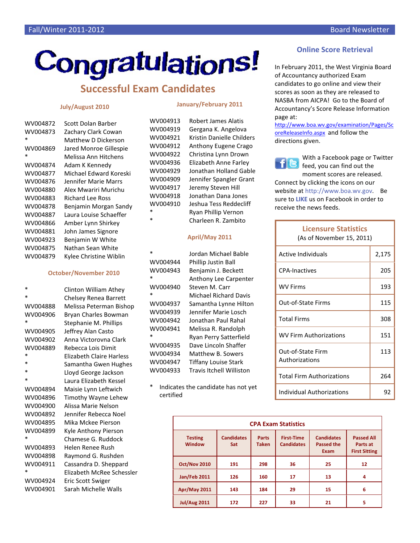# Congratulations!

## **Successful Exam Candidates**

## **July/August 2010**

## **January/February 2011**

WV004913 Robert James Alatis

| WV004872 | Scott Dolan Barber      |
|----------|-------------------------|
| WV004873 | Zachary Clark Cowan     |
| $\ast$   | Matthew D Dickerson     |
| WV004869 | Jared Monroe Gillespie  |
| $\ast$   | Melissa Ann Hitchens    |
| WV004874 | Adam K Kennedy          |
| WV004877 | Michael Fdward Koreski  |
| WV004876 | Jennifer Marie Marrs    |
| WV004880 | Alex Mwariri Murichu    |
| WV004883 | <b>Richard Lee Ross</b> |
| WV004878 | Benjamin Morgan Sandy   |
| WV004887 | Laura Louise Schaeffer  |
| WV004866 | Amber Lynn Shirkey      |
| WV004881 | John James Signore      |
| WV004923 | Benjamin W White        |
| WV004875 | Nathan Sean White       |
| WV004879 | Kylee Christine Wiblin  |
|          |                         |

## **October/November 2010**

\* Clinton William Athey Chelsey Renea Barrett WV004888 Melissa Peterman Bishop WV004906 Bryan Charles Bowman Stephanie M. Phillips WV004905 Jeffrey Alan Casto WV004902 Anna Victorovna Clark WV004889 Rebecca Lois Dimit **Elizabeth Claire Harless** \* Samantha Gwen Hughes \* Lloyd George Jackson Laura Elizabeth Kessel WV004894 Maisie Lynn Leftwich WV004896 Timothy Wayne Lehew WV004900 Alissa Marie Nelson WV004892 Jennifer Rebecca Noel WV004895 Mika Mckee Pierson WV004899 Kyle Anthony Pierson Chamese G. Ruddock WV004893 Helen Renee Rush WV004898 Raymond G. Rushden WV004911 Cassandra D. Sheppard Elizabeth McRee Schessler WV004924 Eric Scott Swiger WV004901 Sarah Michelle Walls

| WV004919 | Gergana K. Angelova         |
|----------|-----------------------------|
| WV004921 | Kristin Danielle Childers   |
| WV004912 | <b>Anthony Eugene Crago</b> |
| WV004922 | Christina Lynn Drown        |
| WV004936 | Elizabeth Anne Farley       |
| WV004929 | Jonathan Holland Gable      |
| WV004909 | Jennifer Spangler Grant     |
| WV004917 | Jeremy Steven Hill          |
| WV004918 | Jonathan Dana Jones         |
| WV004910 | Jeshua Tess Reddecliff      |
| *        | <b>Ryan Phillip Vernon</b>  |
| $\ast$   | Charleen R. Zambito         |

## **April/May 2011**

| $\ast$   | Jordan Michael Bable            |
|----------|---------------------------------|
| WV004944 | <b>Phillip Justin Ball</b>      |
| WV004943 | Benjamin J. Beckett             |
| $\ast$   | <b>Anthony Lee Carpenter</b>    |
| WV004940 | Steven M. Carr                  |
| $\ast$   | Michael Richard Davis           |
| WV004937 | Samantha Lynne Hilton           |
| WV004939 | Jennifer Marie Losch            |
| WV004942 | Jonathan Paul Rahal             |
| WV004941 | Melissa R. Randolph             |
| $\ast$   | Ryan Perry Satterfield          |
| WV004935 | Dave Lincoln Shaffer            |
| WV004934 | Matthew B. Sowers               |
| WV004947 | <b>Tiffany Louise Stark</b>     |
| WV004933 | <b>Travis Itchell Williston</b> |

Indicates the candidate has not yet certified

|  | <b>Online Score Retrieval</b> |  |
|--|-------------------------------|--|
|  |                               |  |

In February 2011, the West Virginia Board of Accountancy authorized Exam candidates to go online and view their scores as soon as they are released to NASBA from AICPA! Go to the Board of Accountancy's Score Release Information page at:

[http://www.boa.wv.gov/examination/Pages/Sc](http://www.boa.wv.gov/examination/Pages/ScoreReleaseInfo.aspx) [oreReleaseInfo.aspx](http://www.boa.wv.gov/examination/Pages/ScoreReleaseInfo.aspx) and follow the directions given.



With a Facebook page or Twitter feed, you can find out the moment scores are released.

Connect by clicking the icons on our website at http://www.boa.wv.gov. Be sure to **LIKE** us on Facebook in order to receive the news feeds.

| <b>Licensure Statistics</b><br>(As of November 15, 2011) |       |
|----------------------------------------------------------|-------|
| Active Individuals                                       | 2,175 |
| <b>CPA-Inactives</b>                                     | 205   |
| <b>WV Firms</b>                                          | 193   |
| Out-of-State Firms                                       | 115   |
| <b>Total Firms</b>                                       | 308   |
| <b>WV Firm Authorizations</b>                            | 151   |
| Out-of-State Firm<br>Authorizations                      | 113   |
| <b>Total Firm Authorizations</b>                         | 264   |
| Individual Authorizations                                | 92    |

|                                 |                          |                              | <b>CPA Exam Statistics</b>             |                                                |                                                       |
|---------------------------------|--------------------------|------------------------------|----------------------------------------|------------------------------------------------|-------------------------------------------------------|
| <b>Testing</b><br><b>Window</b> | <b>Candidates</b><br>Sat | <b>Parts</b><br><b>Taken</b> | <b>First-Time</b><br><b>Candidates</b> | <b>Candidates</b><br><b>Passed the</b><br>Exam | <b>Passed All</b><br>Parts at<br><b>First Sitting</b> |
| <b>Oct/Nov 2010</b>             | 191                      | 298                          | 36                                     | 25                                             | 12                                                    |
| <b>Jan/Feb 2011</b>             | 126                      | 160                          | 17                                     | 13                                             | 4                                                     |
| <b>Apr/May 2011</b>             | 143                      | 184                          | 29                                     | 15                                             | 6                                                     |
| <b>Jul/Aug 2011</b>             | 172                      | 227                          | 33                                     | 21                                             | 5                                                     |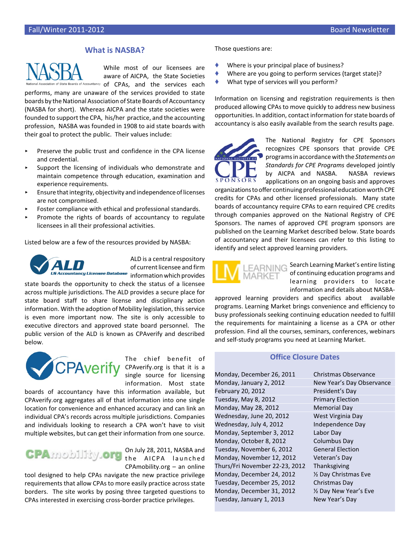## **What is NASBA?**



While most of our licensees are aware of AICPA, the State Societies Boards of Accountancy of CPAs, and the services each

performs, many are unaware of the services provided to state boards by the National Association of State Boards of Accountancy (NASBA for short). Whereas AICPA and the state societies were founded to support the CPA, his/her practice, and the accounting profession, NASBA was founded in 1908 to aid state boards with their goal to protect the public. Their values include:

- Preserve the public trust and confidence in the CPA license and credential.
- Support the licensing of individuals who demonstrate and maintain competence through education, examination and experience requirements.
- $\blacktriangleright$  Ensure that integrity, objectivity and independence of licenses are not compromised.
- Foster compliance with ethical and professional standards.
- Promote the rights of boards of accountancy to regulate licensees in all their professional activities.

Listed below are a few of the resources provided by NASBA:



ALD is a central respository of current licensee and firm **information which provides** information which provides

state boards the opportunity to check the status of a licensee across multiple jurisdictions. The ALD provides a secure place for state board staff to share license and disciplinary action information. With the adoption of Mobility legislation, this service is even more important now. The site is only accessible to executive directors and approved state board personnel. The public version of the ALD is known as CPAverify and described below.



The chief benefit of **CPAverify** CPAverify.org is that it is a single source for licensing information. Most state

boards of accountancy have this information available, but CPAverify.org aggregates all of that information into one single location for convenience and enhanced accuracy and can link an individual CPA's records across multiple jurisdictions. Companies and individuals looking to research a CPA won't have to visit multiple websites, but can get their information from one source.



On July 28, 2011, NASBA and the AICPA launched CPAmobility.org – an online

tool designed to help CPAs navigate the new practice privilege requirements that allow CPAs to more easily practice across state borders. The site works by posing three targeted questions to CPAs interested in exercising cross-border practice privileges.

Those questions are:

- Where is your principal place of business?
- Where are you going to perform services (target state)?
- What type of services will you perform?

Information on licensing and registration requirements is then produced allowing CPAs to move quickly to address new business opportunities. In addition, contact information for state boards of accountancy is also easily available from the search results page.



The National Registry for CPE Sponsors recognizes CPE sponsors that provide CPE programs in accordance with the *Statements on Standards for CPE Programs* developed jointly by AICPA and NASBA. NASBA reviews applications on an ongoing basis and approves

organizationstooffer continuing professional education worth CPE credits for CPAs and other licensed professionals. Many state boards of accountancy require CPAs to earn required CPE credits through companies approved on the National Registry of CPE Sponsors. The names of approved CPE program sponsors are published on the Learning Market described below. State boards of accountancy and their licensees can refer to this listing to identify and select approved learning providers.



Search Learning Market's entire listing of continuing education programs and learning providers to locate information and details about NASBA-

approved learning providers and specifics about available programs. Learning Market brings convenience and efficiency to busy professionals seeking continuing education needed to fulfill the requirements for maintaining a license as a CPA or other profession. Find all the courses, seminars, conferences, webinars and self-study programs you need at Learning Market.

## **Office Closure Dates**

Monday, January 2, 2012 New Year's Day Observance February 20, 2012 President's Day Tuesday, May 8, 2012 Primary Election Monday, May 28, 2012 Memorial Day Wednesday, June 20, 2012 West Virginia Day Wednesday, July 4, 2012 **Independence Day** Monday, September 3, 2012 Labor Day Monday, October 8, 2012 Columbus Day Tuesday, November 6, 2012 General Election Monday, November 12, 2012 Veteran's Day Thurs/Fri November 22-23, 2012 Thanksgiving Monday, December 24, 2012 ½ Day Christmas Eve Tuesday, December 25, 2012 Christmas Day Monday, December 31, 2012 ½ Day New Year's Eve Tuesday, January 1, 2013 New Year's Day

Monday, December 26, 2011 Christmas Observance